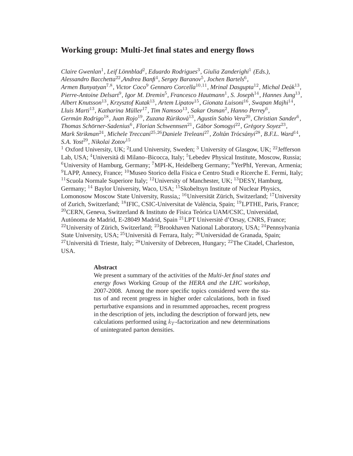# **Working group: Multi-Jet final states and energy flows**

Claire Gwenlan<sup>1</sup>, Leif Lönnblad<sup>2</sup>, Eduardo Rodrigues<sup>3</sup>, Giulia Zanderighi<sup>1</sup> (Eds.), *Alessandro Bacchetta*22*,Andrea Banfi*<sup>4</sup> *, Sergey Baranov*<sup>5</sup> *, Jochen Bartels*<sup>6</sup> *, Armen Bunyatyan*7,<sup>8</sup> *, Victor Coco*<sup>9</sup> *Gennaro Corcella*10,11*, Mrinal Dasgupta*12*, Michal Deak´* 13 *,* Pierre-Antoine Delsart<sup>9</sup>, Igor M. Dremin<sup>5</sup>, Francesco Hautmann<sup>1</sup>, S. Joseph<sup>14</sup>, Hannes Jung<sup>13</sup>, *Albert Knutsson*13*, Krzysztof Kutak*13*, Artem Lipatov*15*, Gionata Luisoni*16*, Swapan Majhi*<sup>14</sup> *, Lluis Marti*13*, Katharina Muller ¨* <sup>17</sup>*, Tim Namsoo*13*, Sakar Osman*<sup>2</sup> *, Hanno Perrey*<sup>6</sup> *, German Rodrigo ´* <sup>18</sup>*, Juan Rojo*19*, Zuzana Rurikov ´ a´* <sup>13</sup>*, Agust´ın Sabio Vera*20*, Christian Sander*<sup>6</sup> *, Thomas Schörner-Sadenius*<sup>6</sup>, *Florian Schwennsen*<sup>21</sup>, *Gábor Somogyi*<sup>22</sup>, *Grégory Soyez*<sup>23</sup>, *Mark Strikman*24*, Michele Treccani*25,26*Daniele Treleani*27*, Zoltan Tr ´ ocs ´ anyi ´* <sup>28</sup>*, B.F.L. Ward*<sup>14</sup> *, S.A. Yost*29*, Nikolai Zotov*<sup>15</sup> <sup>1</sup> Oxford University, UK; <sup>2</sup>Lund University, Sweden; <sup>3</sup> University of Glasgow, UK; <sup>22</sup> Jefferson Lab, USA; <sup>4</sup>Università di Milano–Bicocca, Italy; <sup>5</sup>Lebedev Physical Institute, Moscow, Russia;  ${}^{6}$ University of Hamburg, Germany; <sup>7</sup>MPI-K, Heidelberg Germany;  ${}^{8}$ YerPhI, Yerevan, Armenia;  $^{9}$ LAPP, Annecy, France;  $^{10}$ Museo Storico della Fisica e Centro Studi e Ricerche E. Fermi, Italy; <sup>11</sup> Scuola Normale Superiore Italy; <sup>12</sup> University of Manchester, UK; <sup>13</sup> DESY, Hamburg, Germany; <sup>14</sup> Baylor University, Waco, USA; <sup>15</sup>Skobeltsyn Institute of Nuclear Physics, Lomonosow Moscow State University, Russia,; <sup>16</sup>Universität Zürich, Switzerland; <sup>17</sup>University of Zurich, Switzerland; <sup>18</sup>IFIC, CSIC-Universitat de València, Spain; <sup>19</sup>LPTHE, Paris, France;  $^{20}$ CERN, Geneva, Switzerland & Instituto de Física Teórica UAM/CSIC, Universidad, Autónoma de Madrid, E-28049 Madrid, Spain<sup>21</sup>LPT Université d'Orsay, CNRS, France; <sup>22</sup>University of Zürich, Switzerland; <sup>23</sup>Brookhaven National Laboratory, USA; <sup>24</sup>Pennsylvania State University, USA; <sup>25</sup>Università di Ferrara, Italy; <sup>26</sup>Universidad de Granada, Spain; <sup>27</sup>Università di Trieste, Italy; <sup>28</sup>University of Debrecen, Hungary; <sup>22</sup>The Citadel, Charleston, USA.

## **Abstract**

We present a summary of the activities of the *Multi-Jet final states and energy flows* Working Group of the *HERA and the LHC workshop*, 2007-2008. Among the more specific topics considered were the status of and recent progress in higher order calculations, both in fixed perturbative expansions and in resummed approaches, recent progress in the description of jets, including the description of forward jets, new calculations performed using  $k_T$ -factorization and new determinations of unintegrated parton densities.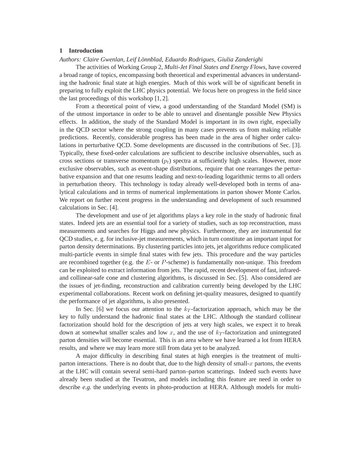# **1 Introduction**

#### *Authors: Claire Gwenlan, Leif Lonnblad, Eduardo Rodrigues, Giulia Zanderighi ¨*

The activities of Working Group 2, *Multi-Jet Final States and Energy Flows*, have covered a broad range of topics, encompassing both theoretical and experimental advances in understanding the hadronic final state at high energies. Much of this work will be of significant benefit in preparing to fully exploit the LHC physics potential. We focus here on progress in the field since the last proceedings of this workshop [1, 2].

From a theoretical point of view, a good understanding of the Standard Model (SM) is of the utmost importance in order to be able to unravel and disentangle possible New Physics effects. In addition, the study of the Standard Model is important in its own right, especially in the QCD sector where the strong coupling in many cases prevents us from making reliable predictions. Recently, considerable progress has been made in the area of higher order calculations in perturbative QCD. Some developments are discussed in the contributions of Sec. [3]. Typically, these fixed-order calculations are sufficient to describe inclusive observables, such as cross sections or transverse momentum  $(p_t)$  spectra at sufficiently high scales. However, more exclusive observables, such as event-shape distributions, require that one rearranges the perturbative expansion and that one resums leading and next-to-leading logarithmic terms to all orders in perturbation theory. This technology is today already well-developed both in terms of analytical calculations and in terms of numerical implementations in parton shower Monte Carlos. We report on further recent progress in the understanding and development of such resummed calculations in Sec. [4].

The development and use of jet algorithms plays a key role in the study of hadronic final states. Indeed jets are an essential tool for a variety of studies, such as top reconstruction, mass measurements and searches for Higgs and new physics. Furthermore, they are instrumental for QCD studies, e. g. for inclusive-jet measurements, which in turn constitute an important input for parton density determinations. By clustering particles into jets, jet algorithms reduce complicated multi-particle events in simple final states with few jets. This procedure and the way particles are recombined together (e.g. the  $E$ - or  $P$ -scheme) is fundamentally non-unique. This freedom can be exploited to extract information from jets. The rapid, recent development of fast, infraredand collinear-safe cone and clustering algorithms, is discussed in Sec. [5]. Also considered are the issues of jet-finding, reconstruction and calibration currently being developed by the LHC experimental collaborations. Recent work on defining jet-quality measures, designed to quantify the performance of jet algorithms, is also presented.

In Sec. [6] we focus our attention to the  $k_T$ -factorization approach, which may be the key to fully understand the hadronic final states at the LHC. Although the standard collinear factorization should hold for the description of jets at very high scales, we expect it to break down at somewhat smaller scales and low x, and the use of  $k<sub>T</sub>$ -factorization and unintegrated parton densities will become essential. This is an area where we have learned a lot from HERA results, and where we may learn more still from data yet to be analyzed.

A major difficulty in describing final states at high energies is the treatment of multiparton interactions. There is no doubt that, due to the high density of small- $x$  partons, the events at the LHC will contain several semi-hard parton–parton scatterings. Indeed such events have already been studied at the Tevatron, and models including this feature are need in order to describe *e.g.* the underlying events in photo-production at HERA. Although models for multi